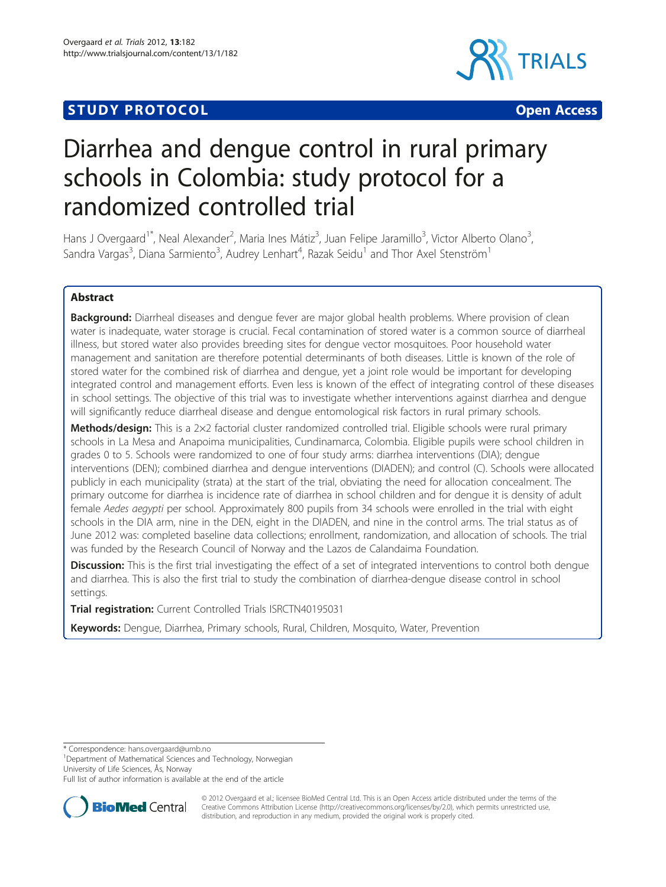# **STUDY PROTOCOL CONSUMING THE CONSUMING OPEN ACCESS**



# Diarrhea and dengue control in rural primary schools in Colombia: study protocol for a randomized controlled trial

Hans J Overgaard<sup>1\*</sup>, Neal Alexander<sup>2</sup>, Maria Ines Mátiz<sup>3</sup>, Juan Felipe Jaramillo<sup>3</sup>, Victor Alberto Olano<sup>3</sup> , Sandra Vargas $^3$ , Diana Sarmiento $^3$ , Audrey Lenhart $^4$ , Razak Seidu $^1$  and Thor Axel Stenström $^1$ 

# Abstract

Background: Diarrheal diseases and dengue fever are major global health problems. Where provision of clean water is inadequate, water storage is crucial. Fecal contamination of stored water is a common source of diarrheal illness, but stored water also provides breeding sites for dengue vector mosquitoes. Poor household water management and sanitation are therefore potential determinants of both diseases. Little is known of the role of stored water for the combined risk of diarrhea and dengue, yet a joint role would be important for developing integrated control and management efforts. Even less is known of the effect of integrating control of these diseases in school settings. The objective of this trial was to investigate whether interventions against diarrhea and dengue will significantly reduce diarrheal disease and dengue entomological risk factors in rural primary schools.

Methods/design: This is a 2×2 factorial cluster randomized controlled trial. Eligible schools were rural primary schools in La Mesa and Anapoima municipalities, Cundinamarca, Colombia. Eligible pupils were school children in grades 0 to 5. Schools were randomized to one of four study arms: diarrhea interventions (DIA); dengue interventions (DEN); combined diarrhea and dengue interventions (DIADEN); and control (C). Schools were allocated publicly in each municipality (strata) at the start of the trial, obviating the need for allocation concealment. The primary outcome for diarrhea is incidence rate of diarrhea in school children and for dengue it is density of adult female Aedes aegypti per school. Approximately 800 pupils from 34 schools were enrolled in the trial with eight schools in the DIA arm, nine in the DEN, eight in the DIADEN, and nine in the control arms. The trial status as of June 2012 was: completed baseline data collections; enrollment, randomization, and allocation of schools. The trial was funded by the Research Council of Norway and the Lazos de Calandaima Foundation.

Discussion: This is the first trial investigating the effect of a set of integrated interventions to control both dengue and diarrhea. This is also the first trial to study the combination of diarrhea-dengue disease control in school settings.

Trial registration: Current Controlled Trials ISRCTN40195031

Keywords: Dengue, Diarrhea, Primary schools, Rural, Children, Mosquito, Water, Prevention

\* Correspondence: [hans.overgaard@umb.no](mailto:hans.overgaard@umb.no) <sup>1</sup>

<sup>1</sup>Department of Mathematical Sciences and Technology, Norwegian University of Life Sciences, Ås, Norway

Full list of author information is available at the end of the article



© 2012 Overgaard et al.; licensee BioMed Central Ltd. This is an Open Access article distributed under the terms of the Creative Commons Attribution License (<http://creativecommons.org/licenses/by/2.0>), which permits unrestricted use, distribution, and reproduction in any medium, provided the original work is properly cited.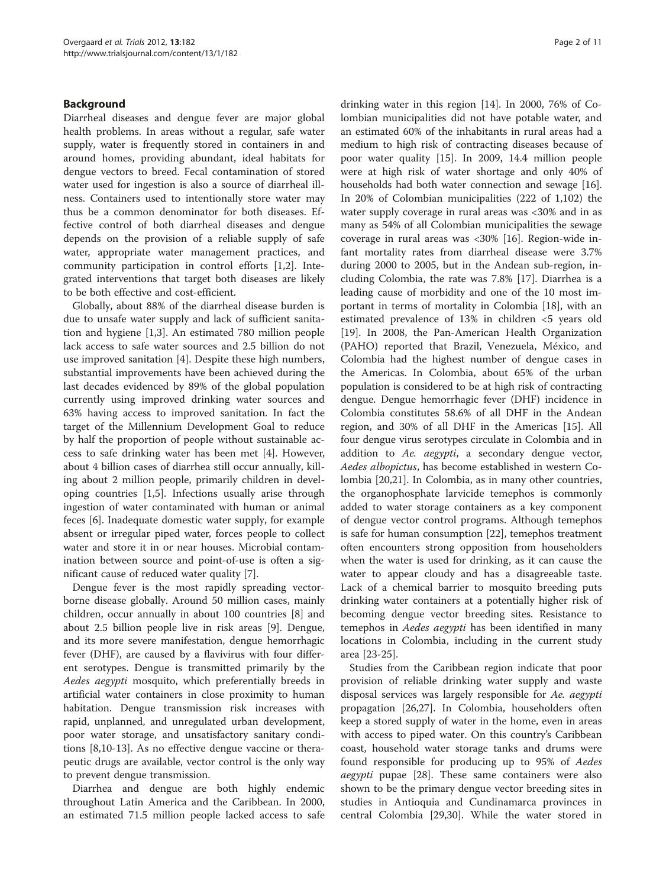# Background

Diarrheal diseases and dengue fever are major global health problems. In areas without a regular, safe water supply, water is frequently stored in containers in and around homes, providing abundant, ideal habitats for dengue vectors to breed. Fecal contamination of stored water used for ingestion is also a source of diarrheal illness. Containers used to intentionally store water may thus be a common denominator for both diseases. Effective control of both diarrheal diseases and dengue depends on the provision of a reliable supply of safe water, appropriate water management practices, and community participation in control efforts [\[1,2](#page-9-0)]. Integrated interventions that target both diseases are likely to be both effective and cost-efficient.

Globally, about 88% of the diarrheal disease burden is due to unsafe water supply and lack of sufficient sanitation and hygiene [\[1,3](#page-9-0)]. An estimated 780 million people lack access to safe water sources and 2.5 billion do not use improved sanitation [[4\]](#page-9-0). Despite these high numbers, substantial improvements have been achieved during the last decades evidenced by 89% of the global population currently using improved drinking water sources and 63% having access to improved sanitation. In fact the target of the Millennium Development Goal to reduce by half the proportion of people without sustainable access to safe drinking water has been met [\[4](#page-9-0)]. However, about 4 billion cases of diarrhea still occur annually, killing about 2 million people, primarily children in developing countries [\[1](#page-9-0),[5](#page-9-0)]. Infections usually arise through ingestion of water contaminated with human or animal feces [[6\]](#page-9-0). Inadequate domestic water supply, for example absent or irregular piped water, forces people to collect water and store it in or near houses. Microbial contamination between source and point-of-use is often a significant cause of reduced water quality [\[7](#page-9-0)].

Dengue fever is the most rapidly spreading vectorborne disease globally. Around 50 million cases, mainly children, occur annually in about 100 countries [[8](#page-9-0)] and about 2.5 billion people live in risk areas [\[9](#page-9-0)]. Dengue, and its more severe manifestation, dengue hemorrhagic fever (DHF), are caused by a flavivirus with four different serotypes. Dengue is transmitted primarily by the Aedes aegypti mosquito, which preferentially breeds in artificial water containers in close proximity to human habitation. Dengue transmission risk increases with rapid, unplanned, and unregulated urban development, poor water storage, and unsatisfactory sanitary conditions [\[8,10](#page-9-0)-[13\]](#page-9-0). As no effective dengue vaccine or therapeutic drugs are available, vector control is the only way to prevent dengue transmission.

Diarrhea and dengue are both highly endemic throughout Latin America and the Caribbean. In 2000, an estimated 71.5 million people lacked access to safe

drinking water in this region [\[14](#page-9-0)]. In 2000, 76% of Colombian municipalities did not have potable water, and an estimated 60% of the inhabitants in rural areas had a medium to high risk of contracting diseases because of poor water quality [\[15](#page-9-0)]. In 2009, 14.4 million people were at high risk of water shortage and only 40% of households had both water connection and sewage [\[16](#page-9-0)]. In 20% of Colombian municipalities (222 of 1,102) the water supply coverage in rural areas was <30% and in as many as 54% of all Colombian municipalities the sewage coverage in rural areas was <30% [\[16\]](#page-9-0). Region-wide infant mortality rates from diarrheal disease were 3.7% during 2000 to 2005, but in the Andean sub-region, including Colombia, the rate was 7.8% [[17](#page-9-0)]. Diarrhea is a leading cause of morbidity and one of the 10 most important in terms of mortality in Colombia [\[18](#page-9-0)], with an estimated prevalence of 13% in children <5 years old [[19\]](#page-9-0). In 2008, the Pan-American Health Organization (PAHO) reported that Brazil, Venezuela, México, and Colombia had the highest number of dengue cases in the Americas. In Colombia, about 65% of the urban population is considered to be at high risk of contracting dengue. Dengue hemorrhagic fever (DHF) incidence in Colombia constitutes 58.6% of all DHF in the Andean region, and 30% of all DHF in the Americas [[15](#page-9-0)]. All four dengue virus serotypes circulate in Colombia and in addition to Ae. aegypti, a secondary dengue vector, Aedes albopictus, has become established in western Colombia [[20,21\]](#page-9-0). In Colombia, as in many other countries, the organophosphate larvicide temephos is commonly added to water storage containers as a key component of dengue vector control programs. Although temephos is safe for human consumption [\[22\]](#page-9-0), temephos treatment often encounters strong opposition from householders when the water is used for drinking, as it can cause the water to appear cloudy and has a disagreeable taste. Lack of a chemical barrier to mosquito breeding puts drinking water containers at a potentially higher risk of becoming dengue vector breeding sites. Resistance to temephos in Aedes aegypti has been identified in many locations in Colombia, including in the current study area [[23-25\]](#page-9-0).

Studies from the Caribbean region indicate that poor provision of reliable drinking water supply and waste disposal services was largely responsible for Ae. aegypti propagation [[26](#page-9-0),[27](#page-9-0)]. In Colombia, householders often keep a stored supply of water in the home, even in areas with access to piped water. On this country's Caribbean coast, household water storage tanks and drums were found responsible for producing up to 95% of Aedes aegypti pupae [[28](#page-9-0)]. These same containers were also shown to be the primary dengue vector breeding sites in studies in Antioquia and Cundinamarca provinces in central Colombia [[29,30](#page-9-0)]. While the water stored in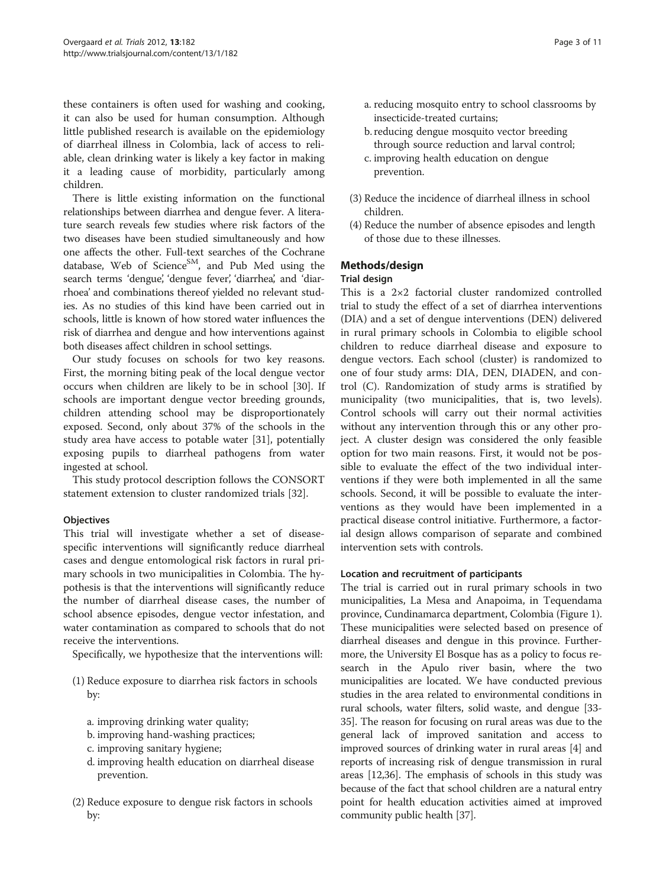these containers is often used for washing and cooking, it can also be used for human consumption. Although little published research is available on the epidemiology of diarrheal illness in Colombia, lack of access to reliable, clean drinking water is likely a key factor in making it a leading cause of morbidity, particularly among children.

There is little existing information on the functional relationships between diarrhea and dengue fever. A literature search reveals few studies where risk factors of the two diseases have been studied simultaneously and how one affects the other. Full-text searches of the Cochrane database, Web of Science<sup>SM</sup>, and Pub Med using the search terms 'dengue', 'dengue fever', 'diarrhea', and 'diarrhoea' and combinations thereof yielded no relevant studies. As no studies of this kind have been carried out in schools, little is known of how stored water influences the risk of diarrhea and dengue and how interventions against both diseases affect children in school settings.

Our study focuses on schools for two key reasons. First, the morning biting peak of the local dengue vector occurs when children are likely to be in school [\[30\]](#page-9-0). If schools are important dengue vector breeding grounds, children attending school may be disproportionately exposed. Second, only about 37% of the schools in the study area have access to potable water [[31\]](#page-9-0), potentially exposing pupils to diarrheal pathogens from water ingested at school.

This study protocol description follows the CONSORT statement extension to cluster randomized trials [[32\]](#page-9-0).

# **Objectives**

This trial will investigate whether a set of diseasespecific interventions will significantly reduce diarrheal cases and dengue entomological risk factors in rural primary schools in two municipalities in Colombia. The hypothesis is that the interventions will significantly reduce the number of diarrheal disease cases, the number of school absence episodes, dengue vector infestation, and water contamination as compared to schools that do not receive the interventions.

Specifically, we hypothesize that the interventions will:

- (1) Reduce exposure to diarrhea risk factors in schools by:
	- a. improving drinking water quality;
	- b. improving hand-washing practices;
	- c. improving sanitary hygiene;
	- d. improving health education on diarrheal disease prevention.
- (2) Reduce exposure to dengue risk factors in schools by:
- a. reducing mosquito entry to school classrooms by insecticide-treated curtains;
- b. reducing dengue mosquito vector breeding through source reduction and larval control;
- c. improving health education on dengue prevention.
- (3) Reduce the incidence of diarrheal illness in school children.
- (4) Reduce the number of absence episodes and length of those due to these illnesses.

# Methods/design

# Trial design

This is a 2×2 factorial cluster randomized controlled trial to study the effect of a set of diarrhea interventions (DIA) and a set of dengue interventions (DEN) delivered in rural primary schools in Colombia to eligible school children to reduce diarrheal disease and exposure to dengue vectors. Each school (cluster) is randomized to one of four study arms: DIA, DEN, DIADEN, and control (C). Randomization of study arms is stratified by municipality (two municipalities, that is, two levels). Control schools will carry out their normal activities without any intervention through this or any other project. A cluster design was considered the only feasible option for two main reasons. First, it would not be possible to evaluate the effect of the two individual interventions if they were both implemented in all the same schools. Second, it will be possible to evaluate the interventions as they would have been implemented in a practical disease control initiative. Furthermore, a factorial design allows comparison of separate and combined intervention sets with controls.

# Location and recruitment of participants

The trial is carried out in rural primary schools in two municipalities, La Mesa and Anapoima, in Tequendama province, Cundinamarca department, Colombia (Figure [1](#page-3-0)). These municipalities were selected based on presence of diarrheal diseases and dengue in this province. Furthermore, the University El Bosque has as a policy to focus research in the Apulo river basin, where the two municipalities are located. We have conducted previous studies in the area related to environmental conditions in rural schools, water filters, solid waste, and dengue [\[33](#page-9-0)- [35](#page-9-0)]. The reason for focusing on rural areas was due to the general lack of improved sanitation and access to improved sources of drinking water in rural areas [[4](#page-9-0)] and reports of increasing risk of dengue transmission in rural areas [\[12,](#page-9-0)[36](#page-10-0)]. The emphasis of schools in this study was because of the fact that school children are a natural entry point for health education activities aimed at improved community public health [[37\]](#page-10-0).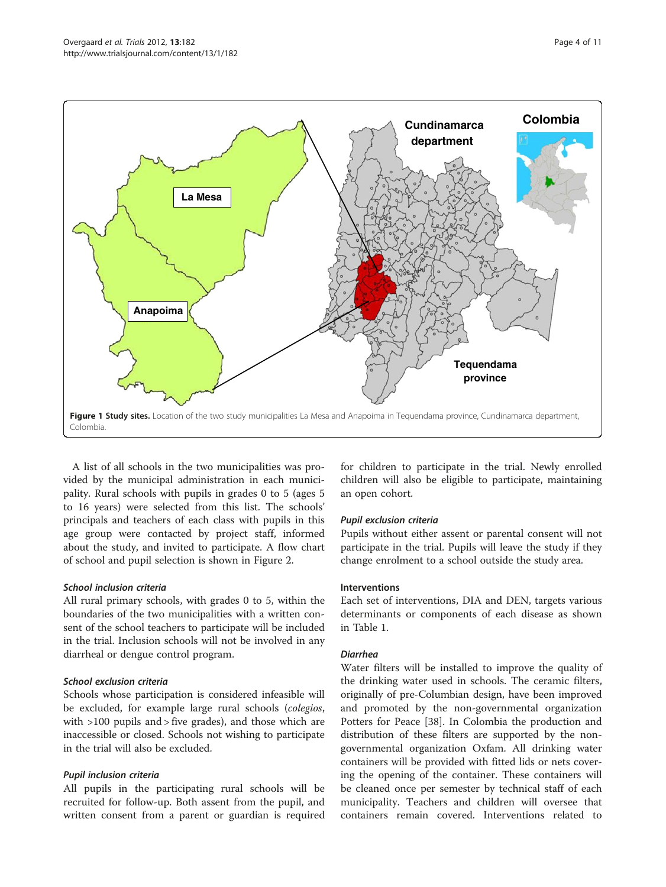<span id="page-3-0"></span>

A list of all schools in the two municipalities was provided by the municipal administration in each municipality. Rural schools with pupils in grades 0 to 5 (ages 5 to 16 years) were selected from this list. The schools' principals and teachers of each class with pupils in this age group were contacted by project staff, informed about the study, and invited to participate. A flow chart of school and pupil selection is shown in Figure [2.](#page-4-0)

# School inclusion criteria

All rural primary schools, with grades 0 to 5, within the boundaries of the two municipalities with a written consent of the school teachers to participate will be included in the trial. Inclusion schools will not be involved in any diarrheal or dengue control program.

# School exclusion criteria

Schools whose participation is considered infeasible will be excluded, for example large rural schools (colegios, with >100 pupils and > five grades), and those which are inaccessible or closed. Schools not wishing to participate in the trial will also be excluded.

# Pupil inclusion criteria

All pupils in the participating rural schools will be recruited for follow-up. Both assent from the pupil, and written consent from a parent or guardian is required for children to participate in the trial. Newly enrolled children will also be eligible to participate, maintaining an open cohort.

# Pupil exclusion criteria

Pupils without either assent or parental consent will not participate in the trial. Pupils will leave the study if they change enrolment to a school outside the study area.

#### Interventions

Each set of interventions, DIA and DEN, targets various determinants or components of each disease as shown in Table [1.](#page-5-0)

# Diarrhea

Water filters will be installed to improve the quality of the drinking water used in schools. The ceramic filters, originally of pre-Columbian design, have been improved and promoted by the non-governmental organization Potters for Peace [[38\]](#page-10-0). In Colombia the production and distribution of these filters are supported by the nongovernmental organization Oxfam. All drinking water containers will be provided with fitted lids or nets covering the opening of the container. These containers will be cleaned once per semester by technical staff of each municipality. Teachers and children will oversee that containers remain covered. Interventions related to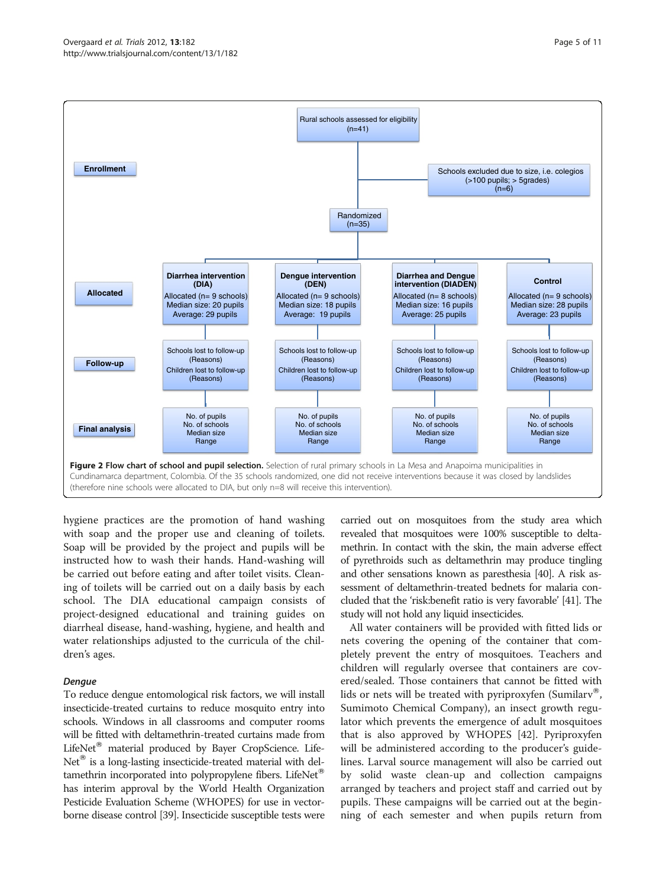<span id="page-4-0"></span>

hygiene practices are the promotion of hand washing with soap and the proper use and cleaning of toilets. Soap will be provided by the project and pupils will be instructed how to wash their hands. Hand-washing will be carried out before eating and after toilet visits. Cleaning of toilets will be carried out on a daily basis by each school. The DIA educational campaign consists of project-designed educational and training guides on diarrheal disease, hand-washing, hygiene, and health and water relationships adjusted to the curricula of the children's ages.

# Dengue

To reduce dengue entomological risk factors, we will install insecticide-treated curtains to reduce mosquito entry into schools. Windows in all classrooms and computer rooms will be fitted with deltamethrin-treated curtains made from LifeNet<sup>®</sup> material produced by Bayer CropScience. Life- $Net^{\circledR}$  is a long-lasting insecticide-treated material with deltamethrin incorporated into polypropylene fibers. LifeNet<sup>®</sup> has interim approval by the World Health Organization Pesticide Evaluation Scheme (WHOPES) for use in vectorborne disease control [[39](#page-10-0)]. Insecticide susceptible tests were carried out on mosquitoes from the study area which revealed that mosquitoes were 100% susceptible to deltamethrin. In contact with the skin, the main adverse effect of pyrethroids such as deltamethrin may produce tingling and other sensations known as paresthesia [\[40\]](#page-10-0). A risk assessment of deltamethrin-treated bednets for malaria concluded that the 'risk:benefit ratio is very favorable' [[41](#page-10-0)]. The study will not hold any liquid insecticides.

All water containers will be provided with fitted lids or nets covering the opening of the container that completely prevent the entry of mosquitoes. Teachers and children will regularly oversee that containers are covered/sealed. Those containers that cannot be fitted with lids or nets will be treated with pyriproxyfen (Sumilarv<sup>®</sup>, Sumimoto Chemical Company), an insect growth regulator which prevents the emergence of adult mosquitoes that is also approved by WHOPES [\[42\]](#page-10-0). Pyriproxyfen will be administered according to the producer's guidelines. Larval source management will also be carried out by solid waste clean-up and collection campaigns arranged by teachers and project staff and carried out by pupils. These campaigns will be carried out at the beginning of each semester and when pupils return from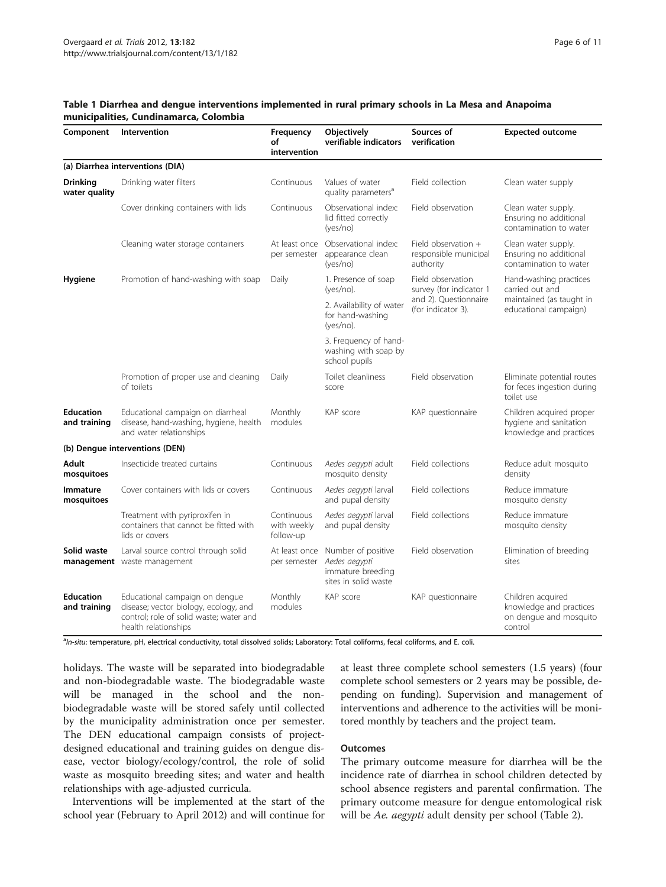<span id="page-5-0"></span>

| Component                        | Intervention                                                                                                                               | Frequency<br>of<br>intervention        | Objectively<br>verifiable indicators                                             | Sources of<br>verification                                                                  | <b>Expected outcome</b>                                                                        |
|----------------------------------|--------------------------------------------------------------------------------------------------------------------------------------------|----------------------------------------|----------------------------------------------------------------------------------|---------------------------------------------------------------------------------------------|------------------------------------------------------------------------------------------------|
|                                  | (a) Diarrhea interventions (DIA)                                                                                                           |                                        |                                                                                  |                                                                                             |                                                                                                |
| <b>Drinking</b><br>water quality | Drinking water filters                                                                                                                     | Continuous                             | Values of water<br>quality parameters <sup>a</sup>                               | Field collection                                                                            | Clean water supply                                                                             |
|                                  | Cover drinking containers with lids                                                                                                        | Continuous                             | Observational index:<br>lid fitted correctly<br>(yes/no)                         | Field observation                                                                           | Clean water supply.<br>Ensuring no additional<br>contamination to water                        |
|                                  | Cleaning water storage containers                                                                                                          | At least once<br>per semester          | Observational index:<br>appearance clean<br>(yes/no)                             | Field observation $+$<br>responsible municipal<br>authority                                 | Clean water supply.<br>Ensuring no additional<br>contamination to water                        |
| Hygiene                          | Promotion of hand-washing with soap                                                                                                        | Daily                                  | 1. Presence of soap<br>(yes/no).                                                 | Field observation<br>survey (for indicator 1<br>and 2). Questionnaire<br>(for indicator 3). | Hand-washing practices<br>carried out and<br>maintained (as taught in<br>educational campaign) |
|                                  |                                                                                                                                            |                                        | 2. Availability of water<br>for hand-washing<br>(yes/no).                        |                                                                                             |                                                                                                |
|                                  |                                                                                                                                            |                                        | 3. Frequency of hand-<br>washing with soap by<br>school pupils                   |                                                                                             |                                                                                                |
|                                  | Promotion of proper use and cleaning<br>of toilets                                                                                         | Daily                                  | Toilet cleanliness<br>score                                                      | Field observation                                                                           | Eliminate potential routes<br>for feces ingestion during<br>toilet use                         |
| <b>Education</b><br>and training | Educational campaign on diarrheal<br>disease, hand-washing, hygiene, health<br>and water relationships                                     | Monthly<br>modules                     | KAP score                                                                        | KAP questionnaire                                                                           | Children acquired proper<br>hygiene and sanitation<br>knowledge and practices                  |
|                                  | (b) Dengue interventions (DEN)                                                                                                             |                                        |                                                                                  |                                                                                             |                                                                                                |
| Adult<br>mosquitoes              | Insecticide treated curtains                                                                                                               | Continuous                             | Aedes aegypti adult<br>mosquito density                                          | Field collections                                                                           | Reduce adult mosquito<br>density                                                               |
| <b>Immature</b><br>mosquitoes    | Cover containers with lids or covers                                                                                                       | Continuous                             | Aedes aegypti larval<br>and pupal density                                        | Field collections                                                                           | Reduce immature<br>mosquito density                                                            |
|                                  | Treatment with pyriproxifen in<br>containers that cannot be fitted with<br>lids or covers                                                  | Continuous<br>with weekly<br>follow-up | Aedes aegypti larval<br>and pupal density                                        | Field collections                                                                           | Reduce immature<br>mosquito density                                                            |
| Solid waste                      | Larval source control through solid<br>management waste management                                                                         | At least once<br>per semester          | Number of positive<br>Aedes aegypti<br>immature breeding<br>sites in solid waste | Field observation                                                                           | Elimination of breeding<br>sites                                                               |
| <b>Education</b><br>and training | Educational campaign on dengue<br>disease; vector biology, ecology, and<br>control; role of solid waste; water and<br>health relationships | Monthly<br>modules                     | KAP score                                                                        | KAP questionnaire                                                                           | Children acquired<br>knowledge and practices<br>on dengue and mosquito<br>control              |

aln-situ: temperature, pH, electrical conductivity, total dissolved solids; Laboratory: Total coliforms, fecal coliforms, and E. coli.

holidays. The waste will be separated into biodegradable and non-biodegradable waste. The biodegradable waste will be managed in the school and the nonbiodegradable waste will be stored safely until collected by the municipality administration once per semester. The DEN educational campaign consists of projectdesigned educational and training guides on dengue disease, vector biology/ecology/control, the role of solid waste as mosquito breeding sites; and water and health relationships with age-adjusted curricula.

Interventions will be implemented at the start of the school year (February to April 2012) and will continue for at least three complete school semesters (1.5 years) (four complete school semesters or 2 years may be possible, depending on funding). Supervision and management of interventions and adherence to the activities will be monitored monthly by teachers and the project team.

# **Outcomes**

The primary outcome measure for diarrhea will be the incidence rate of diarrhea in school children detected by school absence registers and parental confirmation. The primary outcome measure for dengue entomological risk will be Ae. aegypti adult density per school (Table [2](#page-6-0)).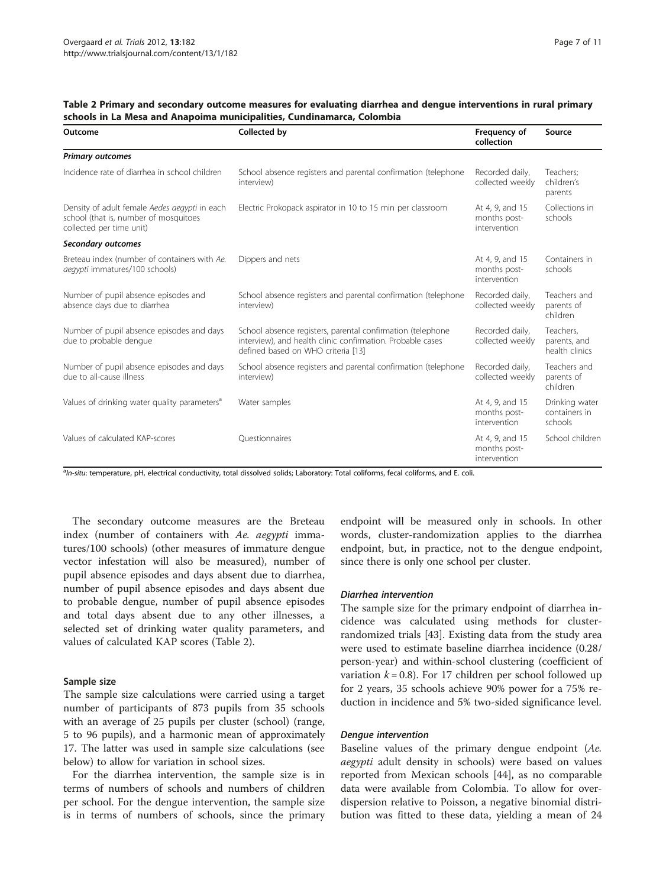| Outcome                                                                                                            | Collected by                                                                                                                                                   | Frequency of<br>collection                      | Source                                      |
|--------------------------------------------------------------------------------------------------------------------|----------------------------------------------------------------------------------------------------------------------------------------------------------------|-------------------------------------------------|---------------------------------------------|
| <b>Primary outcomes</b>                                                                                            |                                                                                                                                                                |                                                 |                                             |
| Incidence rate of diarrhea in school children                                                                      | School absence registers and parental confirmation (telephone<br>interview)                                                                                    | Recorded daily,<br>collected weekly             | Teachers;<br>children's<br>parents          |
| Density of adult female Aedes aegypti in each<br>school (that is, number of mosquitoes<br>collected per time unit) | Electric Prokopack aspirator in 10 to 15 min per classroom                                                                                                     | At 4, 9, and 15<br>months post-<br>intervention | Collections in<br>schools                   |
| Secondary outcomes                                                                                                 |                                                                                                                                                                |                                                 |                                             |
| Breteau index (number of containers with Ae.<br>aegypti immatures/100 schools)                                     | Dippers and nets                                                                                                                                               | At 4, 9, and 15<br>months post-<br>intervention | Containers in<br>schools                    |
| Number of pupil absence episodes and<br>absence days due to diarrhea                                               | School absence registers and parental confirmation (telephone<br>interview)                                                                                    | Recorded daily,<br>collected weekly             | Teachers and<br>parents of<br>children      |
| Number of pupil absence episodes and days<br>due to probable denque                                                | School absence registers, parental confirmation (telephone<br>interview), and health clinic confirmation. Probable cases<br>defined based on WHO criteria [13] | Recorded daily,<br>collected weekly             | Teachers,<br>parents, and<br>health clinics |
| Number of pupil absence episodes and days<br>due to all-cause illness                                              | School absence registers and parental confirmation (telephone<br>interview)                                                                                    | Recorded daily,<br>collected weekly             | Teachers and<br>parents of<br>children      |
| Values of drinking water quality parameters <sup>a</sup>                                                           | Water samples                                                                                                                                                  | At 4, 9, and 15<br>months post-<br>intervention | Drinking water<br>containers in<br>schools  |
| Values of calculated KAP-scores                                                                                    | Ouestionnaires                                                                                                                                                 | At 4, 9, and 15<br>months post-                 | School children                             |

<span id="page-6-0"></span>Table 2 Primary and secondary outcome measures for evaluating diarrhea and dengue interventions in rural primary schools in La Mesa and Anapoima municipalities, Cundinamarca, Colombia

aln-situ: temperature, pH, electrical conductivity, total dissolved solids; Laboratory: Total coliforms, fecal coliforms, and E. coli.

The secondary outcome measures are the Breteau index (number of containers with Ae. aegypti immatures/100 schools) (other measures of immature dengue vector infestation will also be measured), number of pupil absence episodes and days absent due to diarrhea, number of pupil absence episodes and days absent due to probable dengue, number of pupil absence episodes and total days absent due to any other illnesses, a selected set of drinking water quality parameters, and values of calculated KAP scores (Table 2).

#### Sample size

The sample size calculations were carried using a target number of participants of 873 pupils from 35 schools with an average of 25 pupils per cluster (school) (range, 5 to 96 pupils), and a harmonic mean of approximately 17. The latter was used in sample size calculations (see below) to allow for variation in school sizes.

For the diarrhea intervention, the sample size is in terms of numbers of schools and numbers of children per school. For the dengue intervention, the sample size is in terms of numbers of schools, since the primary endpoint will be measured only in schools. In other words, cluster-randomization applies to the diarrhea endpoint, but, in practice, not to the dengue endpoint, since there is only one school per cluster.

intervention

#### Diarrhea intervention

The sample size for the primary endpoint of diarrhea incidence was calculated using methods for clusterrandomized trials [[43\]](#page-10-0). Existing data from the study area were used to estimate baseline diarrhea incidence (0.28/ person-year) and within-school clustering (coefficient of variation  $k = 0.8$ ). For 17 children per school followed up for 2 years, 35 schools achieve 90% power for a 75% reduction in incidence and 5% two-sided significance level.

#### Dengue intervention

Baseline values of the primary dengue endpoint (Ae. aegypti adult density in schools) were based on values reported from Mexican schools [[44](#page-10-0)], as no comparable data were available from Colombia. To allow for overdispersion relative to Poisson, a negative binomial distribution was fitted to these data, yielding a mean of 24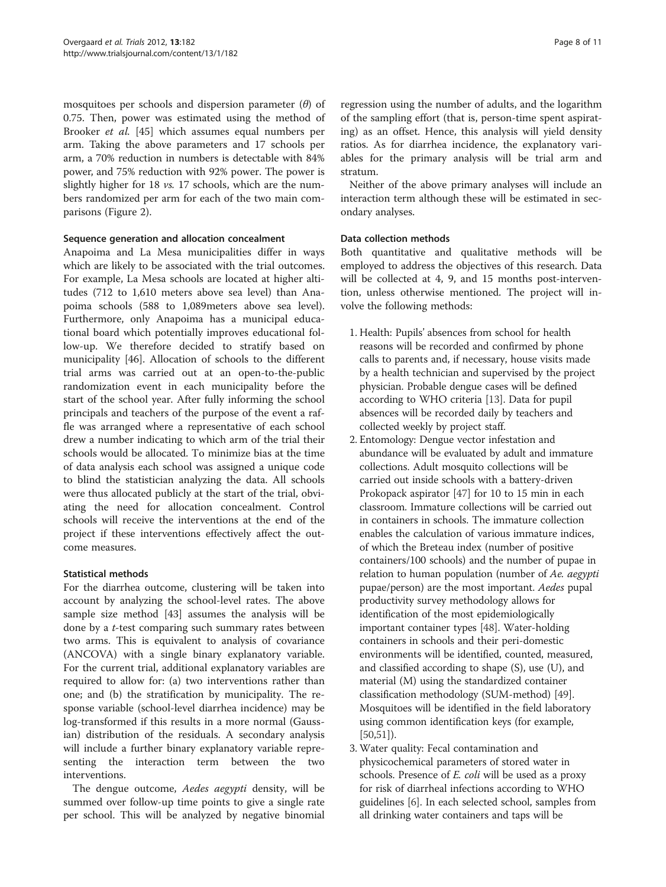mosquitoes per schools and dispersion parameter  $(\theta)$  of 0.75. Then, power was estimated using the method of Brooker et al. [\[45](#page-10-0)] which assumes equal numbers per arm. Taking the above parameters and 17 schools per arm, a 70% reduction in numbers is detectable with 84% power, and 75% reduction with 92% power. The power is slightly higher for 18 *vs.* 17 schools, which are the numbers randomized per arm for each of the two main comparisons (Figure [2](#page-4-0)).

# Sequence generation and allocation concealment

Anapoima and La Mesa municipalities differ in ways which are likely to be associated with the trial outcomes. For example, La Mesa schools are located at higher altitudes (712 to 1,610 meters above sea level) than Anapoima schools (588 to 1,089meters above sea level). Furthermore, only Anapoima has a municipal educational board which potentially improves educational follow-up. We therefore decided to stratify based on municipality [[46](#page-10-0)]. Allocation of schools to the different trial arms was carried out at an open-to-the-public randomization event in each municipality before the start of the school year. After fully informing the school principals and teachers of the purpose of the event a raffle was arranged where a representative of each school drew a number indicating to which arm of the trial their schools would be allocated. To minimize bias at the time of data analysis each school was assigned a unique code to blind the statistician analyzing the data. All schools were thus allocated publicly at the start of the trial, obviating the need for allocation concealment. Control schools will receive the interventions at the end of the project if these interventions effectively affect the outcome measures.

# Statistical methods

For the diarrhea outcome, clustering will be taken into account by analyzing the school-level rates. The above sample size method [\[43\]](#page-10-0) assumes the analysis will be done by a t-test comparing such summary rates between two arms. This is equivalent to analysis of covariance (ANCOVA) with a single binary explanatory variable. For the current trial, additional explanatory variables are required to allow for: (a) two interventions rather than one; and (b) the stratification by municipality. The response variable (school-level diarrhea incidence) may be log-transformed if this results in a more normal (Gaussian) distribution of the residuals. A secondary analysis will include a further binary explanatory variable representing the interaction term between the two interventions.

The dengue outcome, Aedes aegypti density, will be summed over follow-up time points to give a single rate per school. This will be analyzed by negative binomial

regression using the number of adults, and the logarithm of the sampling effort (that is, person-time spent aspirating) as an offset. Hence, this analysis will yield density ratios. As for diarrhea incidence, the explanatory variables for the primary analysis will be trial arm and stratum.

Neither of the above primary analyses will include an interaction term although these will be estimated in secondary analyses.

# Data collection methods

Both quantitative and qualitative methods will be employed to address the objectives of this research. Data will be collected at 4, 9, and 15 months post-intervention, unless otherwise mentioned. The project will involve the following methods:

- 1. Health: Pupils' absences from school for health reasons will be recorded and confirmed by phone calls to parents and, if necessary, house visits made by a health technician and supervised by the project physician. Probable dengue cases will be defined according to WHO criteria [\[13\]](#page-9-0). Data for pupil absences will be recorded daily by teachers and collected weekly by project staff.
- 2. Entomology: Dengue vector infestation and abundance will be evaluated by adult and immature collections. Adult mosquito collections will be carried out inside schools with a battery-driven Prokopack aspirator [\[47](#page-10-0)] for 10 to 15 min in each classroom. Immature collections will be carried out in containers in schools. The immature collection enables the calculation of various immature indices, of which the Breteau index (number of positive containers/100 schools) and the number of pupae in relation to human population (number of Ae. aegypti pupae/person) are the most important. Aedes pupal productivity survey methodology allows for identification of the most epidemiologically important container types [[48](#page-10-0)]. Water-holding containers in schools and their peri-domestic environments will be identified, counted, measured, and classified according to shape (S), use (U), and material (M) using the standardized container classification methodology (SUM-method) [[49\]](#page-10-0). Mosquitoes will be identified in the field laboratory using common identification keys (for example,  $[50,51]$  $[50,51]$  $[50,51]$  $[50,51]$  $[50,51]$ ).
- 3. Water quality: Fecal contamination and physicochemical parameters of stored water in schools. Presence of *E. coli* will be used as a proxy for risk of diarrheal infections according to WHO guidelines [[6](#page-9-0)]. In each selected school, samples from all drinking water containers and taps will be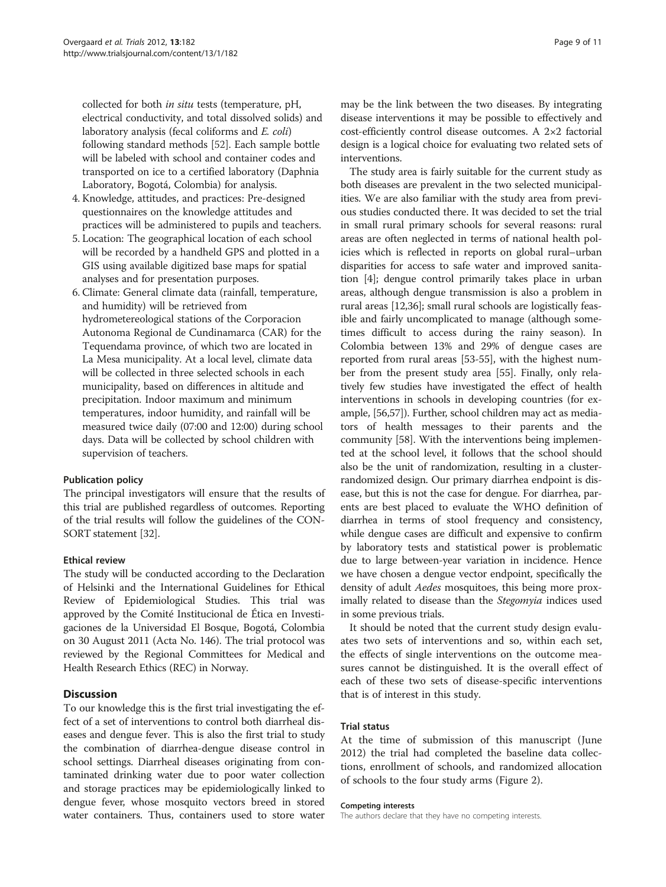collected for both in situ tests (temperature, pH, electrical conductivity, and total dissolved solids) and laboratory analysis (fecal coliforms and E. coli) following standard methods [[52](#page-10-0)]. Each sample bottle will be labeled with school and container codes and transported on ice to a certified laboratory (Daphnia Laboratory, Bogotá, Colombia) for analysis.

- 4. Knowledge, attitudes, and practices: Pre-designed questionnaires on the knowledge attitudes and practices will be administered to pupils and teachers.
- 5. Location: The geographical location of each school will be recorded by a handheld GPS and plotted in a GIS using available digitized base maps for spatial analyses and for presentation purposes.
- 6. Climate: General climate data (rainfall, temperature, and humidity) will be retrieved from hydrometereological stations of the Corporacion Autonoma Regional de Cundinamarca (CAR) for the Tequendama province, of which two are located in La Mesa municipality. At a local level, climate data will be collected in three selected schools in each municipality, based on differences in altitude and precipitation. Indoor maximum and minimum temperatures, indoor humidity, and rainfall will be measured twice daily (07:00 and 12:00) during school days. Data will be collected by school children with supervision of teachers.

# Publication policy

The principal investigators will ensure that the results of this trial are published regardless of outcomes. Reporting of the trial results will follow the guidelines of the CON-SORT statement [\[32\]](#page-9-0).

# Ethical review

The study will be conducted according to the Declaration of Helsinki and the International Guidelines for Ethical Review of Epidemiological Studies. This trial was approved by the Comité Institucional de Ética en Investigaciones de la Universidad El Bosque, Bogotá, Colombia on 30 August 2011 (Acta No. 146). The trial protocol was reviewed by the Regional Committees for Medical and Health Research Ethics (REC) in Norway.

# **Discussion**

To our knowledge this is the first trial investigating the effect of a set of interventions to control both diarrheal diseases and dengue fever. This is also the first trial to study the combination of diarrhea-dengue disease control in school settings. Diarrheal diseases originating from contaminated drinking water due to poor water collection and storage practices may be epidemiologically linked to dengue fever, whose mosquito vectors breed in stored water containers. Thus, containers used to store water

may be the link between the two diseases. By integrating disease interventions it may be possible to effectively and cost-efficiently control disease outcomes. A 2×2 factorial design is a logical choice for evaluating two related sets of interventions.

The study area is fairly suitable for the current study as both diseases are prevalent in the two selected municipalities. We are also familiar with the study area from previous studies conducted there. It was decided to set the trial in small rural primary schools for several reasons: rural areas are often neglected in terms of national health policies which is reflected in reports on global rural–urban disparities for access to safe water and improved sanitation [[4](#page-9-0)]; dengue control primarily takes place in urban areas, although dengue transmission is also a problem in rural areas [\[12,](#page-9-0)[36](#page-10-0)]; small rural schools are logistically feasible and fairly uncomplicated to manage (although sometimes difficult to access during the rainy season). In Colombia between 13% and 29% of dengue cases are reported from rural areas [\[53-55](#page-10-0)], with the highest number from the present study area [[55](#page-10-0)]. Finally, only relatively few studies have investigated the effect of health interventions in schools in developing countries (for example, [[56,57](#page-10-0)]). Further, school children may act as mediators of health messages to their parents and the community [[58](#page-10-0)]. With the interventions being implemented at the school level, it follows that the school should also be the unit of randomization, resulting in a clusterrandomized design. Our primary diarrhea endpoint is disease, but this is not the case for dengue. For diarrhea, parents are best placed to evaluate the WHO definition of diarrhea in terms of stool frequency and consistency, while dengue cases are difficult and expensive to confirm by laboratory tests and statistical power is problematic due to large between-year variation in incidence. Hence we have chosen a dengue vector endpoint, specifically the density of adult Aedes mosquitoes, this being more proximally related to disease than the Stegomyia indices used in some previous trials.

It should be noted that the current study design evaluates two sets of interventions and so, within each set, the effects of single interventions on the outcome measures cannot be distinguished. It is the overall effect of each of these two sets of disease-specific interventions that is of interest in this study.

# Trial status

At the time of submission of this manuscript (June 2012) the trial had completed the baseline data collections, enrollment of schools, and randomized allocation of schools to the four study arms (Figure [2](#page-4-0)).

#### Competing interests

The authors declare that they have no competing interests.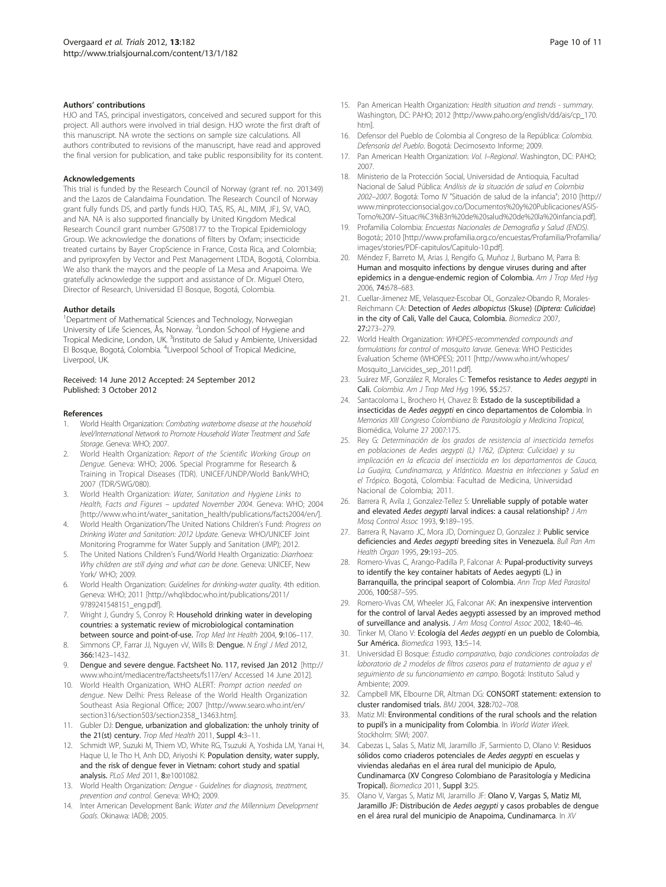#### <span id="page-9-0"></span>Authors' contributions

HJO and TAS, principal investigators, conceived and secured support for this project. All authors were involved in trial design. HJO wrote the first draft of this manuscript. NA wrote the sections on sample size calculations. All authors contributed to revisions of the manuscript, have read and approved the final version for publication, and take public responsibility for its content.

#### Acknowledgements

This trial is funded by the Research Council of Norway (grant ref. no. 201349) and the Lazos de Calandaima Foundation. The Research Council of Norway grant fully funds DS, and partly funds HJO, TAS, RS, AL, MIM, JFJ, SV, VAO, and NA. NA is also supported financially by United Kingdom Medical Research Council grant number G7508177 to the Tropical Epidemiology Group. We acknowledge the donations of filters by Oxfam; insecticide treated curtains by Bayer CropScience in France, Costa Rica, and Colombia; and pyriproxyfen by Vector and Pest Management LTDA, Bogotá, Colombia. We also thank the mayors and the people of La Mesa and Anapoima. We gratefully acknowledge the support and assistance of Dr. Miguel Otero, Director of Research, Universidad El Bosque, Bogotá, Colombia.

#### Author details

<sup>1</sup>Department of Mathematical Sciences and Technology, Norwegian University of Life Sciences, Ås, Norway. <sup>2</sup>London School of Hygiene and Tropical Medicine, London, UK. <sup>3</sup>Instituto de Salud y Ambiente, Universidad El Bosque, Bogotá, Colombia. <sup>4</sup>Liverpool School of Tropical Medicine, Liverpool, UK.

#### Received: 14 June 2012 Accepted: 24 September 2012 Published: 3 October 2012

#### References

- 1. World Health Organization: Combating waterborne disease at the household level/International Network to Promote Household Water Treatment and Safe Storage. Geneva: WHO; 2007.
- 2. World Health Organization: Report of the Scientific Working Group on Dengue. Geneva: WHO; 2006. Special Programme for Research & Training in Tropical Diseases (TDR). UNICEF/UNDP/World Bank/WHO; 2007 (TDR/SWG/080).
- 3. World Health Organization: Water, Sanitation and Hygiene Links to Health, Facts and Figures – updated November 2004. Geneva: WHO; 2004 [[http://www.who.int/water\\_sanitation\\_health/publications/facts2004/en/\]](http://www.who.int/water_sanitation_health/publications/facts2004/en/).
- 4. World Health Organization/The United Nations Children's Fund: Progress on Drinking Water and Sanitation: 2012 Update. Geneva: WHO/UNICEF Joint Monitoring Programme for Water Supply and Sanitation (JMP); 2012.
- The United Nations Children's Fund/World Health Organizatio: Diarrhoea: Why children are still dying and what can be done. Geneva: UNICEF, New York/ WHO; 2009.
- World Health Organization: Guidelines for drinking-water quality. 4th edition. Geneva: WHO; 2011 [\[http://whqlibdoc.who.int/publications/2011/](http://whqlibdoc.who.int/publications/2011/9789241548151_eng.pdf) [9789241548151\\_eng.pdf](http://whqlibdoc.who.int/publications/2011/9789241548151_eng.pdf)].
- 7. Wright J, Gundry S, Conroy R: Household drinking water in developing countries: a systematic review of microbiological contamination between source and point-of-use. Trop Med Int Health 2004, 9:106–117.
- 8. Simmons CP, Farrar JJ, Nguyen vV, Wills B: Dengue. N Engl J Med 2012, 366:1423–1432.
- Dengue and severe dengue. Factsheet No. 117, revised Jan 2012 [[http://](http://www.who.int/mediacentre/factsheets/fs117/en/) [www.who.int/mediacentre/factsheets/fs117/en/](http://www.who.int/mediacentre/factsheets/fs117/en/) Accessed 14 June 2012].
- 10. World Health Organization, WHO ALERT: Prompt action needed on dengue. New Delhi: Press Release of the World Health Organization Southeast Asia Regional Office; 2007 [[http://www.searo.who.int/en/](http://www.searo.who.int/en/section316/section503/section2358_13463.htm) [section316/section503/section2358\\_13463.htm](http://www.searo.who.int/en/section316/section503/section2358_13463.htm)].
- 11. Gubler DJ: Dengue, urbanization and globalization: the unholy trinity of the 21(st) century. Trop Med Health 2011, Suppl 4:3-11.
- 12. Schmidt WP, Suzuki M, Thiem VD, White RG, Tsuzuki A, Yoshida LM, Yanai H, Haque U, le Tho H, Anh DD, Ariyoshi K: Population density, water supply, and the risk of dengue fever in Vietnam: cohort study and spatial analysis. PLoS Med 2011, 8:e1001082.
- 13. World Health Organization: Dengue Guidelines for diagnosis, treatment, prevention and control. Geneva: WHO; 2009.
- 14. Inter American Development Bank: Water and the Millennium Development Goals. Okinawa: IADB; 2005.
- 15. Pan American Health Organization: Health situation and trends summary. Washington, DC: PAHO; 2012 [\[http://www.paho.org/english/dd/ais/cp\\_170.](http://www.paho.org/english/dd/ais/cp_170.htm) [htm](http://www.paho.org/english/dd/ais/cp_170.htm)].
- 16. Defensor del Pueblo de Colombia al Congreso de la República: Colombia. Defensoría del Pueblo. Bogotá: Decimosexto Informe; 2009.
- 17. Pan American Health Organization: Vol. I-Regional. Washington, DC: PAHO; 2007.
- 18. Ministerio de la Protección Social, Universidad de Antioquia, Facultad Nacional de Salud Pública: Análisis de la situación de salud en Colombia 2002–2007. Bogotá: Tomo IV "Situación de salud de la infancia"; 2010 [\[http://](http://www.minproteccionsocial.gov.co/Documentos%20y%20Publicaciones/ASIS-Tomo%20IV--Situaci%C3%B3n%20de%20salud%20de%20la%20infancia.pdf) [www.minproteccionsocial.gov.co/Documentos%20y%20Publicaciones/ASIS-](http://www.minproteccionsocial.gov.co/Documentos%20y%20Publicaciones/ASIS-Tomo%20IV--Situaci%C3%B3n%20de%20salud%20de%20la%20infancia.pdf)Tomo%20IV–[Situaci%C3%B3n%20de%20salud%20de%20la%20infancia.pdf\]](http://www.minproteccionsocial.gov.co/Documentos%20y%20Publicaciones/ASIS-Tomo%20IV--Situaci%C3%B3n%20de%20salud%20de%20la%20infancia.pdf).
- 19. Profamilia Colombia: Encuestas Nacionales de Demografia y Salud (ENDS). Bogotá:; 2010 [\[http://www.profamilia.org.co/encuestas/Profamilia/Profamilia/](http://www.profamilia.org.co/encuestas/Profamilia/Profamilia/images/stories/PDF-capitulos/Capitulo-10.pdf) [images/stories/PDF-capitulos/Capitulo-10.pdf\]](http://www.profamilia.org.co/encuestas/Profamilia/Profamilia/images/stories/PDF-capitulos/Capitulo-10.pdf).
- 20. Méndez F, Barreto M, Arias J, Rengifo G, Muñoz J, Burbano M, Parra B: Human and mosquito infections by dengue viruses during and after epidemics in a dengue-endemic region of Colombia. Am J Trop Med Hyg 2006, 74:678–683.
- 21. Cuellar-Jimenez ME, Velasquez-Escobar OL, Gonzalez-Obando R, Morales-Reichmann CA: Detection of Aedes albopictus (Skuse) (Diptera: Culicidae) in the city of Cali, Valle del Cauca, Colombia. Biomedica 2007, 27:273–279.
- 22. World Health Organization: WHOPES-recommended compounds and formulations for control of mosquito larvae. Geneva: WHO Pesticides Evaluation Scheme (WHOPES); 2011 [[http://www.who.int/whopes/](http://www.who.int/whopes/Mosquito_Larvicides_sep_2011.pdf) [Mosquito\\_Larvicides\\_sep\\_2011.pdf](http://www.who.int/whopes/Mosquito_Larvicides_sep_2011.pdf)].
- 23. Suárez MF, González R, Morales C: Temefos resistance to Aedes aegypti in Cali. Colombia. Am J Trop Med Hyg 1996, 55:257.
- 24. Santacoloma L, Brochero H, Chavez B: Estado de la susceptibilidad a insecticidas de Aedes aegypti en cinco departamentos de Colombia. In Memorias XIII Congreso Colombiano de Parasitología y Medicina Tropical, Biomédica, Volume 27 2007:175.
- 25. Rey G: Determinación de los grados de resistencia al insecticida temefos en poblaciones de Aedes aegypti (L) 1762, (Diptera: Culicidae) y su implicación en la eficacia del insecticida en los departamentos de Cauca, La Guajira, Cundinamarca, y Atlántico. Maestria en Infecciones y Salud en el Trópico. Bogotá, Colombia: Facultad de Medicina, Universidad Nacional de Colombia; 2011.
- 26. Barrera R, Avila J, Gonzalez-Tellez S: Unreliable supply of potable water and elevated Aedes aegypti larval indices: a causal relationship? J Am Mosq Control Assoc 1993, 9:189–195.
- 27. Barrera R, Navarro JC, Mora JD, Dominguez D, Gonzalez J: Public service deficiencies and Aedes aegypti breeding sites in Venezuela. Bull Pan Am Health Organ 1995, 29:193–205.
- 28. Romero-Vivas C, Arango-Padilla P, Falconar A: Pupal-productivity surveys to identify the key container habitats of Aedes aegypti (L.) in Barranquilla, the principal seaport of Colombia. Ann Trop Med Parasitol 2006, 100:S87–S95.
- 29. Romero-Vivas CM, Wheeler JG, Falconar AK: An inexpensive intervention for the control of larval Aedes aegypti assessed by an improved method of surveillance and analysis. J Am Mosq Control Assoc 2002, 18:40-46.
- 30. Tinker M, Olano V: Ecología del Aedes aegypti en un pueblo de Colombia, Sur América. Biomedica 1993, 13:5–14.
- 31. Universidad El Bosque: Estudio comparativo, bajo condiciones controladas de laboratorio de 2 modelos de filtros caseros para el tratamiento de agua y el seguimiento de su funcionamiento en campo. Bogotá: Instituto Salud y Ambiente; 2009.
- 32. Campbell MK, Elbourne DR, Altman DG: CONSORT statement: extension to cluster randomised trials. BMJ 2004, 328:702–708.
- 33. Matiz MI: Environmental conditions of the rural schools and the relation to pupil's in a municipality from Colombia. In World Water Week. Stockholm: SIWI; 2007.
- 34. Cabezas L, Salas S, Matiz MI, Jaramillo JF, Sarmiento D, Olano V: Residuos sólidos como criaderos potenciales de Aedes aegypti en escuelas y viviendas aledañas en el área rural del municipio de Apulo, Cundinamarca (XV Congreso Colombiano de Parasitología y Medicina Tropical). Biomedica 2011, Suppl 3:25.
- 35. Olano V, Vargas S, Matiz MI, Jaramillo JF: Olano V, Vargas S, Matiz MI, Jaramillo JF: Distribución de Aedes aegypti y casos probables de dengue en el área rural del municipio de Anapoima, Cundinamarca. In XV